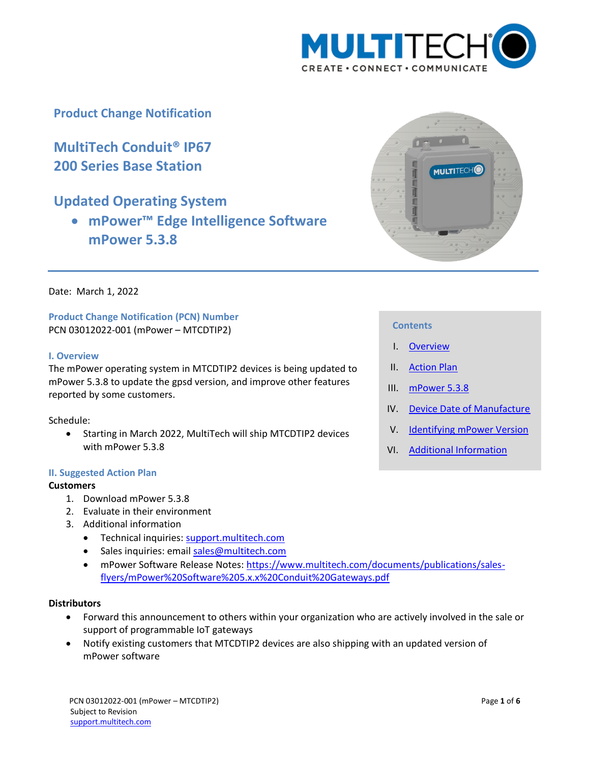

# **Product Change Notification**

**MultiTech Conduit® IP67 200 Series Base Station**

# **Updated Operating System**

 **mPower™ Edge Intelligence Software mPower 5.3.8**



Date: March 1, 2022

**Product Change Notification (PCN) Number**  PCN 03012022-001 (mPower – MTCDTIP2)

#### <span id="page-0-0"></span>**I. Overview**

The mPower operating system in MTCDTIP2 devices is being updated to mPower 5.3.8 to update the gpsd version, and improve other features reported by some customers.

Schedule:

 Starting in March 2022, MultiTech will ship MTCDTIP2 devices with mPower 5.3.8

#### <span id="page-0-1"></span>**II. Suggested Action Plan**

#### **Customers**

- 1. Download mPower 5.3.8
- 2. Evaluate in their environment
- 3. Additional information
	- Technical inquiries: support.multitech.com
	- Sales inquiries: emai[l sales@multitech.com](mailto:sales@multitech.com?subject=mPower%20MTR%205.3.6)
	- mPower Software Release Notes: [https://www.multitech.com/documents/publications/sales](https://www.multitech.com/documents/publications/sales-flyers/mPower%20Software%205.x.x%20Conduit%20Gateways.pdf)[flyers/mPower%20Software%205.x.x%20Conduit%20Gateways.pdf](https://www.multitech.com/documents/publications/sales-flyers/mPower%20Software%205.x.x%20Conduit%20Gateways.pdf)

#### **Distributors**

- Forward this announcement to others within your organization who are actively involved in the sale or support of programmable IoT gateways
- <span id="page-0-2"></span> Notify existing customers that MTCDTIP2 devices are also shipping with an updated version of mPower software

#### **Contents**

- I. [Overview](#page-0-0)
- II. [Action Plan](#page-0-1)
- III. [mPower 5.3.8](#page-0-2)
- IV. [Device Date of Manufacture](#page-3-0)
- V. [Identifying mPower Version](#page-3-1)
- VI. [Additional Information](#page-4-0)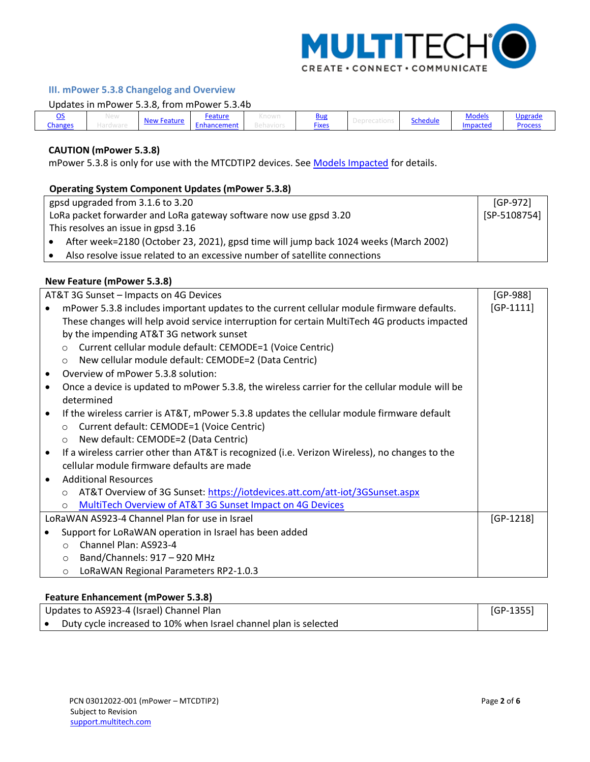

# **III. mPower 5.3.8 Changelog and Overview**

#### Updates in mPower 5.3.8, from mPower 5.3.4b

|         | INGM |           | <u>-eature</u> | ווכ<br>$ -$ | schedule | . .<br>.<br><u>Models</u> | Jngradr<br>гаи<br><u>rou</u> |
|---------|------|-----------|----------------|-------------|----------|---------------------------|------------------------------|
| Changes |      | . Peature | ment<br>ancer  | Fixes       |          | Impacted                  | Process                      |

## **CAUTION (mPower 5.3.8)**

L

mPower 5.3.8 is only for use with the MTCDTIP2 devices. See [Models Impacted](#page-2-2) for details.

## <span id="page-1-0"></span>**Operating System Component Updates (mPower 5.3.8)**

| gpsd upgraded from 3.1.6 to 3.20                                  |                                                                                      |  |  |  |  |
|-------------------------------------------------------------------|--------------------------------------------------------------------------------------|--|--|--|--|
| LoRa packet forwarder and LoRa gateway software now use gpsd 3.20 |                                                                                      |  |  |  |  |
| This resolves an issue in gpsd 3.16                               |                                                                                      |  |  |  |  |
|                                                                   | After week=2180 (October 23, 2021), gpsd time will jump back 1024 weeks (March 2002) |  |  |  |  |
|                                                                   | Also resolve issue related to an excessive number of satellite connections           |  |  |  |  |

## <span id="page-1-1"></span>**New Feature (mPower 5.3.8)**

| AT&T 3G Sunset - Impacts on 4G Devices                                                                      |             |  |  |  |
|-------------------------------------------------------------------------------------------------------------|-------------|--|--|--|
| mPower 5.3.8 includes important updates to the current cellular module firmware defaults.                   | $[GP-1111]$ |  |  |  |
| These changes will help avoid service interruption for certain MultiTech 4G products impacted               |             |  |  |  |
| by the impending AT&T 3G network sunset                                                                     |             |  |  |  |
| Current cellular module default: CEMODE=1 (Voice Centric)<br>$\circ$                                        |             |  |  |  |
| New cellular module default: CEMODE=2 (Data Centric)<br>$\circ$                                             |             |  |  |  |
| Overview of mPower 5.3.8 solution:<br>$\bullet$                                                             |             |  |  |  |
| Once a device is updated to mPower 5.3.8, the wireless carrier for the cellular module will be<br>$\bullet$ |             |  |  |  |
| determined                                                                                                  |             |  |  |  |
| If the wireless carrier is AT&T, mPower 5.3.8 updates the cellular module firmware default<br>$\bullet$     |             |  |  |  |
| Current default: CEMODE=1 (Voice Centric)<br>$\circ$                                                        |             |  |  |  |
| New default: CEMODE=2 (Data Centric)<br>$\circ$                                                             |             |  |  |  |
| If a wireless carrier other than AT&T is recognized (i.e. Verizon Wireless), no changes to the<br>$\bullet$ |             |  |  |  |
| cellular module firmware defaults are made                                                                  |             |  |  |  |
| <b>Additional Resources</b><br>$\bullet$                                                                    |             |  |  |  |
| AT&T Overview of 3G Sunset: https://iotdevices.att.com/att-iot/3GSunset.aspx<br>$\Omega$                    |             |  |  |  |
| <b>MultiTech Overview of AT&amp;T 3G Sunset Impact on 4G Devices</b><br>$\circ$                             |             |  |  |  |
| LoRaWAN AS923-4 Channel Plan for use in Israel                                                              | $[GP-1218]$ |  |  |  |
| Support for LoRaWAN operation in Israel has been added                                                      |             |  |  |  |
| Channel Plan: AS923-4<br>$\bigcirc$                                                                         |             |  |  |  |
| Band/Channels: 917 - 920 MHz<br>$\circ$                                                                     |             |  |  |  |
| LoRaWAN Regional Parameters RP2-1.0.3<br>$\circ$                                                            |             |  |  |  |

## <span id="page-1-2"></span>**Feature Enhancement (mPower 5.3.8)**

| Updates to AS923-4 (Israel) Channel Plan |                                                                  |  |  |  |
|------------------------------------------|------------------------------------------------------------------|--|--|--|
|                                          | Duty cycle increased to 10% when Israel channel plan is selected |  |  |  |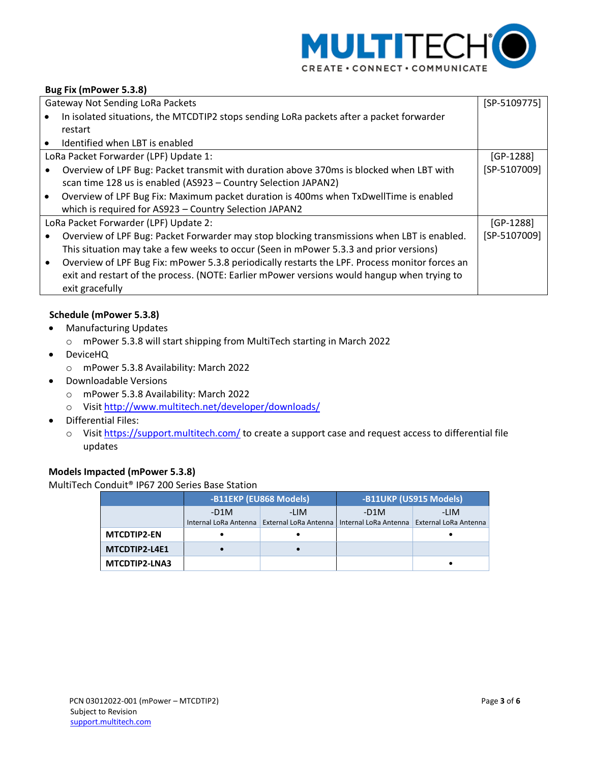

# <span id="page-2-0"></span>**Bug Fix (mPower 5.3.8)**

| <b>Gateway Not Sending LoRa Packets</b> |                                                                                                |              |  |
|-----------------------------------------|------------------------------------------------------------------------------------------------|--------------|--|
|                                         | In isolated situations, the MTCDTIP2 stops sending LoRa packets after a packet forwarder       |              |  |
|                                         | restart                                                                                        |              |  |
|                                         | Identified when LBT is enabled                                                                 |              |  |
|                                         | LoRa Packet Forwarder (LPF) Update 1:                                                          | $[GP-1288]$  |  |
|                                         | Overview of LPF Bug: Packet transmit with duration above 370ms is blocked when LBT with        | [SP-5107009] |  |
|                                         | scan time 128 us is enabled (AS923 - Country Selection JAPAN2)                                 |              |  |
|                                         | Overview of LPF Bug Fix: Maximum packet duration is 400ms when TxDwellTime is enabled          |              |  |
|                                         | which is required for AS923 - Country Selection JAPAN2                                         |              |  |
|                                         | LoRa Packet Forwarder (LPF) Update 2:                                                          | $[GP-1288]$  |  |
|                                         | Overview of LPF Bug: Packet Forwarder may stop blocking transmissions when LBT is enabled.     | [SP-5107009] |  |
|                                         | This situation may take a few weeks to occur (Seen in mPower 5.3.3 and prior versions)         |              |  |
|                                         | Overview of LPF Bug Fix: mPower 5.3.8 periodically restarts the LPF. Process monitor forces an |              |  |
|                                         | exit and restart of the process. (NOTE: Earlier mPower versions would hangup when trying to    |              |  |
|                                         | exit gracefully                                                                                |              |  |

#### <span id="page-2-1"></span>**Schedule (mPower 5.3.8)**

- Manufacturing Updates
	- o mPower 5.3.8 will start shipping from MultiTech starting in March 2022
- DeviceHQ
	- o mPower 5.3.8 Availability: March 2022
- Downloadable Versions
	- o mPower 5.3.8 Availability: March 2022
	- o Visit<http://www.multitech.net/developer/downloads/>
- Differential Files:
	- o Visit<https://support.multitech.com/> to create a support case and request access to differential file updates

# <span id="page-2-2"></span>**Models Impacted (mPower 5.3.8)**

#### MultiTech Conduit® IP67 200 Series Base Station

|                    | -B11EKP (EU868 Models) |                       | -B11UKP (US915 Models) |                       |  |
|--------------------|------------------------|-----------------------|------------------------|-----------------------|--|
|                    | $-D1M$                 | -LIM                  | $-D1M$                 | -LIM                  |  |
|                    | Internal LoRa Antenna  | External LoRa Antenna | Internal LoRa Antenna  | External LoRa Antenna |  |
| <b>MTCDTIP2-EN</b> |                        |                       |                        |                       |  |
| MTCDTIP2-L4E1      |                        |                       |                        |                       |  |
| MTCDTIP2-LNA3      |                        |                       |                        |                       |  |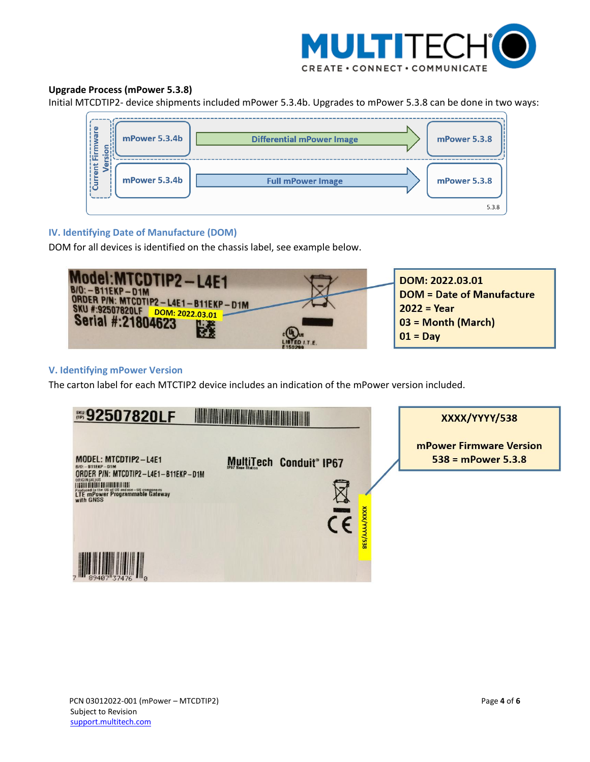

# <span id="page-3-2"></span>**Upgrade Process (mPower 5.3.8)**

Initial MTCDTIP2- device shipments included mPower 5.3.4b. Upgrades to mPower 5.3.8 can be done in two ways:



## <span id="page-3-0"></span>**IV. Identifying Date of Manufacture (DOM)**

DOM for all devices is identified on the chassis label, see example below.



## <span id="page-3-1"></span>**V. Identifying mPower Version**

The carton label for each MTCTIP2 device includes an indication of the mPower version included.

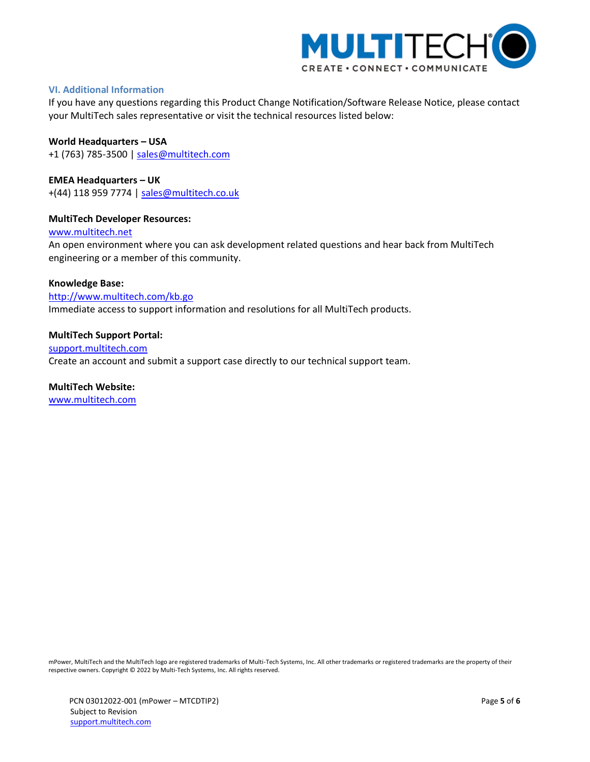

## <span id="page-4-0"></span>**VI. Additional Information**

If you have any questions regarding this Product Change Notification/Software Release Notice, please contact your MultiTech sales representative or visit the technical resources listed below:

**World Headquarters – USA** +1 (763) 785-3500 | [sales@multitech.com](mailto:sales@multitech.com)

**EMEA Headquarters – UK** +(44) 118 959 7774 | [sales@multitech.co.uk](mailto:sales@multitech.co.uk)

#### **MultiTech Developer Resources:**

[www.multitech.net](http://www.multitech.net/)

An open environment where you can ask development related questions and hear back from MultiTech engineering or a member of this community.

#### **Knowledge Base:**

<http://www.multitech.com/kb.go> Immediate access to support information and resolutions for all MultiTech products.

#### **MultiTech Support Portal:**

[support.multitech.com](https://support.multitech.com/) Create an account and submit a support case directly to our technical support team.

#### **MultiTech Website:**

[www.multitech.com](http://www.multitech.com/)

mPower, MultiTech and the MultiTech logo are registered trademarks of Multi-Tech Systems, Inc. All other trademarks or registered trademarks are the property of their respective owners. Copyright © 2022 by Multi-Tech Systems, Inc. All rights reserved.